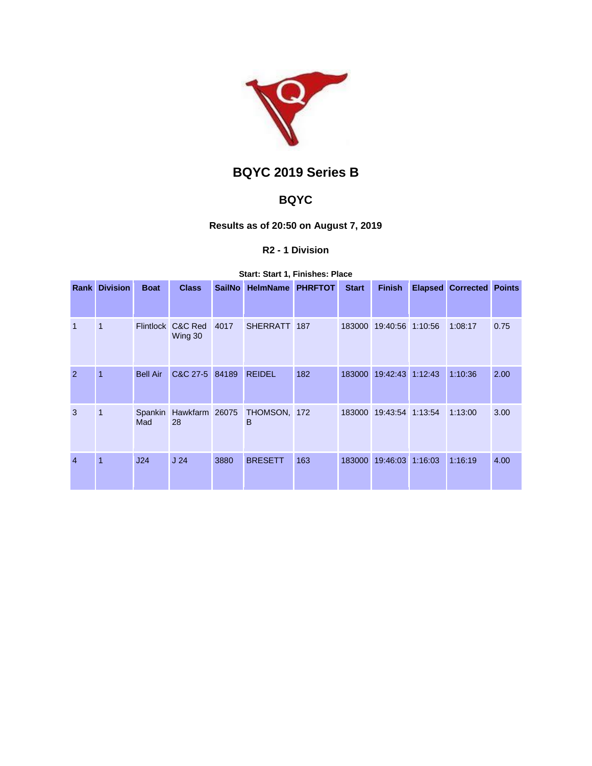

# **BQYC 2019 Series B**

## **BQYC**

## **Results as of 20:50 on August 7, 2019**

## **R2 - 1 Division**

#### **Start: Start 1, Finishes: Place**

| Rank           | <b>Division</b> | <b>Boat</b>      | <b>Class</b>         | <b>SailNo</b> | <b>HelmName</b>   | <b>PHRFTOT</b> | <b>Start</b> | <b>Finish</b>           |         | <b>Elapsed Corrected Points</b> |      |
|----------------|-----------------|------------------|----------------------|---------------|-------------------|----------------|--------------|-------------------------|---------|---------------------------------|------|
|                |                 |                  |                      |               |                   |                |              |                         |         |                                 |      |
| $\overline{1}$ | 1               | <b>Flintlock</b> | C&C Red<br>Wing 30   | 4017          | SHERRATT 187      |                | 183000       | 19:40:56 1:10:56        |         | 1:08:17                         | 0.75 |
| 2              | 1               | <b>Bell Air</b>  | C&C 27-5 84189       |               | <b>REIDEL</b>     | 182            |              | 183000 19:42:43         | 1:12:43 | 1:10:36                         | 2.00 |
| 3              | 1               | Spankin<br>Mad   | Hawkfarm 26075<br>28 |               | THOMSON, 172<br>B |                |              | 183000 19:43:54 1:13:54 |         | 1:13:00                         | 3.00 |
| $\overline{4}$ | 1               | J24              | J <sub>24</sub>      | 3880          | <b>BRESETT</b>    | 163            | 183000       | 19:46:03                | 1:16:03 | 1:16:19                         | 4.00 |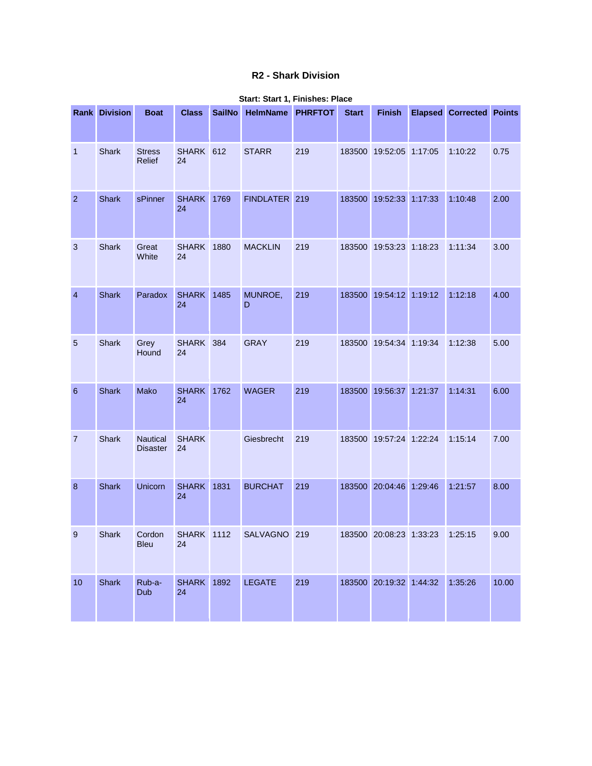## **R2 - Shark Division**

|                 | <b>Rank Division</b> | <b>Boat</b>                        | <b>Class</b>            | <b>SailNo</b> | HelmName PHRFTOT |     | <b>Start</b> | <b>Finish</b>           | <b>Elapsed Corrected Points</b> |       |
|-----------------|----------------------|------------------------------------|-------------------------|---------------|------------------|-----|--------------|-------------------------|---------------------------------|-------|
| $\mathbf{1}$    | <b>Shark</b>         | <b>Stress</b><br>Relief            | SHARK 612<br>24         |               | <b>STARR</b>     | 219 |              | 183500 19:52:05 1:17:05 | 1:10:22                         | 0.75  |
| $\overline{2}$  | <b>Shark</b>         | sPinner                            | <b>SHARK</b><br>24      | 1769          | FINDLATER 219    |     |              | 183500 19:52:33 1:17:33 | 1:10:48                         | 2.00  |
| 3               | <b>Shark</b>         | Great<br>White                     | <b>SHARK 1880</b><br>24 |               | <b>MACKLIN</b>   | 219 |              | 183500 19:53:23 1:18:23 | 1:11:34                         | 3.00  |
| $\overline{4}$  | <b>Shark</b>         | Paradox                            | <b>SHARK</b><br>24      | 1485          | MUNROE,<br>D     | 219 |              | 183500 19:54:12 1:19:12 | 1:12:18                         | 4.00  |
| $\overline{5}$  | Shark                | Grey<br>Hound                      | SHARK 384<br>24         |               | <b>GRAY</b>      | 219 |              | 183500 19:54:34 1:19:34 | 1:12:38                         | 5.00  |
| $6\phantom{1}6$ | <b>Shark</b>         | Mako                               | <b>SHARK</b><br>24      | 1762          | <b>WAGER</b>     | 219 |              | 183500 19:56:37 1:21:37 | 1:14:31                         | 6.00  |
| $\overline{7}$  | <b>Shark</b>         | <b>Nautical</b><br><b>Disaster</b> | <b>SHARK</b><br>24      |               | Giesbrecht       | 219 |              | 183500 19:57:24 1:22:24 | 1:15:14                         | 7.00  |
| 8               | <b>Shark</b>         | Unicorn                            | <b>SHARK</b><br>24      | 1831          | <b>BURCHAT</b>   | 219 |              | 183500 20:04:46 1:29:46 | 1:21:57                         | 8.00  |
| 9               | Shark                | Cordon<br><b>Bleu</b>              | <b>SHARK 1112</b><br>24 |               | <b>SALVAGNO</b>  | 219 |              | 183500 20:08:23 1:33:23 | 1:25:15                         | 9.00  |
| $10$            | Shark                | Rub-a-<br>Dub                      | <b>SHARK</b> 1892<br>24 |               | <b>LEGATE</b>    | 219 |              | 183500 20:19:32 1:44:32 | 1:35:26                         | 10.00 |

#### **Start: Start 1, Finishes: Place**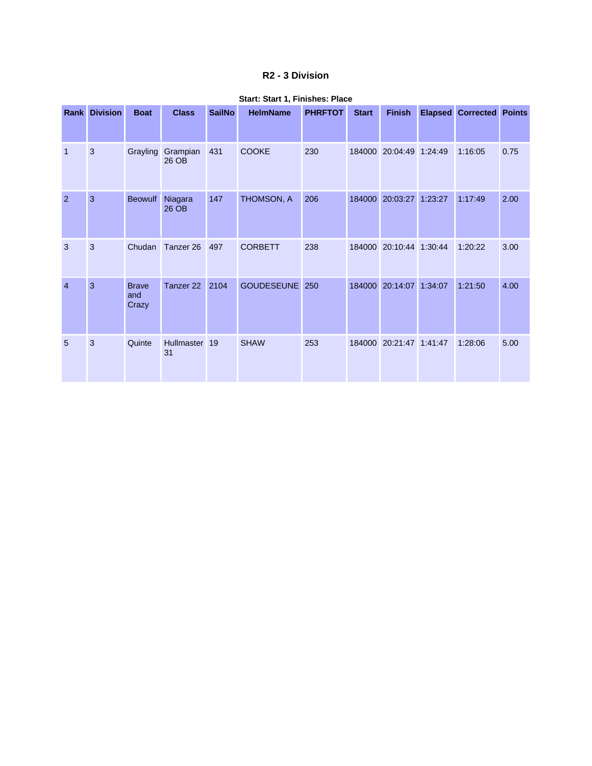### **R2 - 3 Division**

|                | <b>Rank Division</b> | <b>Boat</b>                  | <b>Class</b>      | <b>SailNo</b> | <b>HelmName</b>   | <b>PHRFTOT</b> | <b>Start</b> | <b>Finish</b>    | <b>Elapsed</b> | <b>Corrected Points</b> |      |
|----------------|----------------------|------------------------------|-------------------|---------------|-------------------|----------------|--------------|------------------|----------------|-------------------------|------|
| $\mathbf 1$    | 3                    | Grayling                     | Grampian<br>26 OB | 431           | <b>COOKE</b>      | 230            | 184000       | 20:04:49 1:24:49 |                | 1:16:05                 | 0.75 |
| 2              | 3                    | <b>Beowulf</b>               | Niagara<br>26 OB  | 147           | THOMSON, A        | 206            | 184000       | 20:03:27 1:23:27 |                | 1:17:49                 | 2.00 |
| 3              | 3                    | Chudan                       | Tanzer 26         | 497           | <b>CORBETT</b>    | 238            | 184000       | 20:10:44         | 1:30:44        | 1:20:22                 | 3.00 |
| $\overline{4}$ | 3                    | <b>Brave</b><br>and<br>Crazy | Tanzer 22         | 2104          | <b>GOUDESEUNE</b> | 250            | 184000       | 20:14:07         | 1:34:07        | 1:21:50                 | 4.00 |
| 5              | 3                    | Quinte                       | Hullmaster<br>31  | 19            | <b>SHAW</b>       | 253            | 184000       | 20:21:47 1:41:47 |                | 1:28:06                 | 5.00 |

#### **Start: Start 1, Finishes: Place**